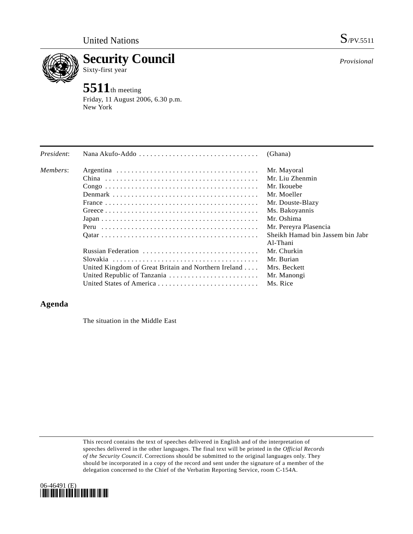

**Security Council**  Sixty-first year

# **5511**th meeting

Friday, 11 August 2006, 6.30 p.m. New York

| President: |                                                      | (Ghana)                          |
|------------|------------------------------------------------------|----------------------------------|
| Members:   |                                                      | Mr. Mayoral                      |
|            |                                                      | Mr. Liu Zhenmin                  |
|            |                                                      | Mr. Ikouebe                      |
|            |                                                      | Mr. Moeller                      |
|            |                                                      | Mr. Douste-Blazy                 |
|            |                                                      | Ms. Bakoyannis                   |
|            |                                                      | Mr. Oshima                       |
|            |                                                      | Mr. Pereyra Plasencia            |
|            |                                                      | Sheikh Hamad bin Jassem bin Jabr |
|            |                                                      | Al-Thani                         |
|            | Russian Federation                                   | Mr. Churkin                      |
|            |                                                      | Mr. Burian                       |
|            | United Kingdom of Great Britain and Northern Ireland | Mrs. Beckett                     |
|            |                                                      | Mr. Manongi                      |
|            |                                                      | Ms. Rice                         |

## **Agenda**

The situation in the Middle East

This record contains the text of speeches delivered in English and of the interpretation of speeches delivered in the other languages. The final text will be printed in the *Official Records of the Security Council*. Corrections should be submitted to the original languages only. They should be incorporated in a copy of the record and sent under the signature of a member of the delegation concerned to the Chief of the Verbatim Reporting Service, room C-154A.



*Provisional*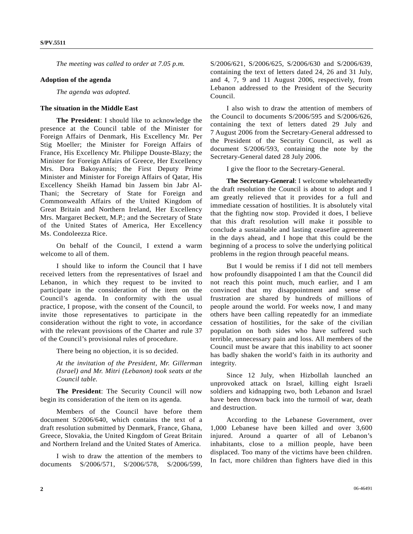*The meeting was called to order at 7.05 p.m.* 

#### **Adoption of the agenda**

*The agenda was adopted.* 

### **The situation in the Middle East**

**The President**: I should like to acknowledge the presence at the Council table of the Minister for Foreign Affairs of Denmark, His Excellency Mr. Per Stig Moeller; the Minister for Foreign Affairs of France, His Excellency Mr. Philippe Douste-Blazy; the Minister for Foreign Affairs of Greece, Her Excellency Mrs. Dora Bakoyannis; the First Deputy Prime Minister and Minister for Foreign Affairs of Qatar, His Excellency Sheikh Hamad bin Jassem bin Jabr Al-Thani; the Secretary of State for Foreign and Commonwealth Affairs of the United Kingdom of Great Britain and Northern Ireland, Her Excellency Mrs. Margaret Beckett, M.P.; and the Secretary of State of the United States of America, Her Excellency Ms. Condoleezza Rice.

 On behalf of the Council, I extend a warm welcome to all of them.

 I should like to inform the Council that I have received letters from the representatives of Israel and Lebanon, in which they request to be invited to participate in the consideration of the item on the Council's agenda. In conformity with the usual practice, I propose, with the consent of the Council, to invite those representatives to participate in the consideration without the right to vote, in accordance with the relevant provisions of the Charter and rule 37 of the Council's provisional rules of procedure.

There being no objection, it is so decided.

*At the invitation of the President, Mr. Gillerman (Israel) and Mr. Mitri (Lebanon) took seats at the Council table.* 

**The President**: The Security Council will now begin its consideration of the item on its agenda.

 Members of the Council have before them document S/2006/640, which contains the text of a draft resolution submitted by Denmark, France, Ghana, Greece, Slovakia, the United Kingdom of Great Britain and Northern Ireland and the United States of America.

 I wish to draw the attention of the members to documents S/2006/571, S/2006/578, S/2006/599,

S/2006/621, S/2006/625, S/2006/630 and S/2006/639, containing the text of letters dated 24, 26 and 31 July, and 4, 7, 9 and 11 August 2006, respectively, from Lebanon addressed to the President of the Security Council.

 I also wish to draw the attention of members of the Council to documents S/2006/595 and S/2006/626, containing the text of letters dated 29 July and 7 August 2006 from the Secretary-General addressed to the President of the Security Council, as well as document S/2006/593, containing the note by the Secretary-General dated 28 July 2006.

I give the floor to the Secretary-General.

**The Secretary-General**: I welcome wholeheartedly the draft resolution the Council is about to adopt and I am greatly relieved that it provides for a full and immediate cessation of hostilities. It is absolutely vital that the fighting now stop. Provided it does, I believe that this draft resolution will make it possible to conclude a sustainable and lasting ceasefire agreement in the days ahead, and I hope that this could be the beginning of a process to solve the underlying political problems in the region through peaceful means.

 But I would be remiss if I did not tell members how profoundly disappointed I am that the Council did not reach this point much, much earlier, and I am convinced that my disappointment and sense of frustration are shared by hundreds of millions of people around the world. For weeks now, I and many others have been calling repeatedly for an immediate cessation of hostilities, for the sake of the civilian population on both sides who have suffered such terrible, unnecessary pain and loss. All members of the Council must be aware that this inability to act sooner has badly shaken the world's faith in its authority and integrity.

 Since 12 July, when Hizbollah launched an unprovoked attack on Israel, killing eight Israeli soldiers and kidnapping two, both Lebanon and Israel have been thrown back into the turmoil of war, death and destruction.

 According to the Lebanese Government, over 1,000 Lebanese have been killed and over 3,600 injured. Around a quarter of all of Lebanon's inhabitants, close to a million people, have been displaced. Too many of the victims have been children. In fact, more children than fighters have died in this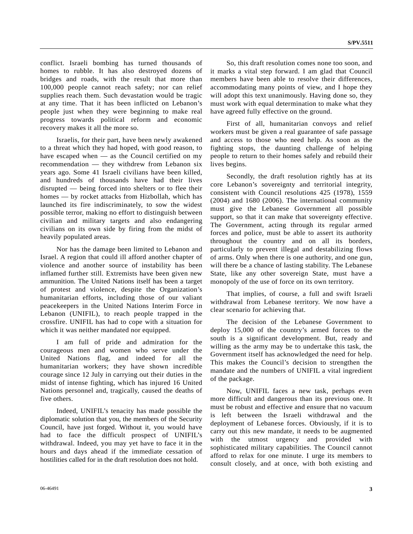conflict. Israeli bombing has turned thousands of homes to rubble. It has also destroyed dozens of bridges and roads, with the result that more than 100,000 people cannot reach safety; nor can relief supplies reach them. Such devastation would be tragic at any time. That it has been inflicted on Lebanon's people just when they were beginning to make real progress towards political reform and economic recovery makes it all the more so.

 Israelis, for their part, have been newly awakened to a threat which they had hoped, with good reason, to have escaped when — as the Council certified on my recommendation — they withdrew from Lebanon six years ago. Some 41 Israeli civilians have been killed, and hundreds of thousands have had their lives disrupted — being forced into shelters or to flee their homes — by rocket attacks from Hizbollah, which has launched its fire indiscriminately, to sow the widest possible terror, making no effort to distinguish between civilian and military targets and also endangering civilians on its own side by firing from the midst of heavily populated areas.

 Nor has the damage been limited to Lebanon and Israel. A region that could ill afford another chapter of violence and another source of instability has been inflamed further still. Extremists have been given new ammunition. The United Nations itself has been a target of protest and violence, despite the Organization's humanitarian efforts, including those of our valiant peacekeepers in the United Nations Interim Force in Lebanon (UNIFIL), to reach people trapped in the crossfire. UNIFIL has had to cope with a situation for which it was neither mandated nor equipped.

 I am full of pride and admiration for the courageous men and women who serve under the United Nations flag, and indeed for all the humanitarian workers; they have shown incredible courage since 12 July in carrying out their duties in the midst of intense fighting, which has injured 16 United Nations personnel and, tragically, caused the deaths of five others.

 Indeed, UNIFIL's tenacity has made possible the diplomatic solution that you, the members of the Security Council, have just forged. Without it, you would have had to face the difficult prospect of UNIFIL's withdrawal. Indeed, you may yet have to face it in the hours and days ahead if the immediate cessation of hostilities called for in the draft resolution does not hold.

 So, this draft resolution comes none too soon, and it marks a vital step forward. I am glad that Council members have been able to resolve their differences, accommodating many points of view, and I hope they will adopt this text unanimously. Having done so, they must work with equal determination to make what they have agreed fully effective on the ground.

 First of all, humanitarian convoys and relief workers must be given a real guarantee of safe passage and access to those who need help. As soon as the fighting stops, the daunting challenge of helping people to return to their homes safely and rebuild their lives begins.

 Secondly, the draft resolution rightly has at its core Lebanon's sovereignty and territorial integrity, consistent with Council resolutions 425 (1978), 1559 (2004) and 1680 (2006). The international community must give the Lebanese Government all possible support, so that it can make that sovereignty effective. The Government, acting through its regular armed forces and police, must be able to assert its authority throughout the country and on all its borders, particularly to prevent illegal and destabilizing flows of arms. Only when there is one authority, and one gun, will there be a chance of lasting stability. The Lebanese State, like any other sovereign State, must have a monopoly of the use of force on its own territory.

 That implies, of course, a full and swift Israeli withdrawal from Lebanese territory. We now have a clear scenario for achieving that.

 The decision of the Lebanese Government to deploy 15,000 of the country's armed forces to the south is a significant development. But, ready and willing as the army may be to undertake this task, the Government itself has acknowledged the need for help. This makes the Council's decision to strengthen the mandate and the numbers of UNIFIL a vital ingredient of the package.

 Now, UNIFIL faces a new task, perhaps even more difficult and dangerous than its previous one. It must be robust and effective and ensure that no vacuum is left between the Israeli withdrawal and the deployment of Lebanese forces. Obviously, if it is to carry out this new mandate, it needs to be augmented with the utmost urgency and provided with sophisticated military capabilities. The Council cannot afford to relax for one minute. I urge its members to consult closely, and at once, with both existing and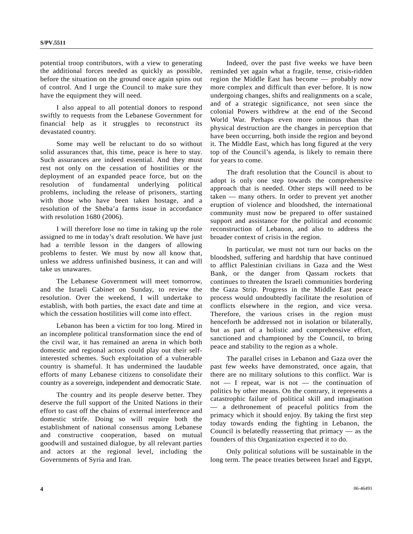potential troop contributors, with a view to generating the additional forces needed as quickly as possible, before the situation on the ground once again spins out of control. And I urge the Council to make sure they have the equipment they will need.

 I also appeal to all potential donors to respond swiftly to requests from the Lebanese Government for financial help as it struggles to reconstruct its devastated country.

 Some may well be reluctant to do so without solid assurances that, this time, peace is here to stay. Such assurances are indeed essential. And they must rest not only on the cessation of hostilities or the deployment of an expanded peace force, but on the resolution of fundamental underlying political problems, including the release of prisoners, starting with those who have been taken hostage, and a resolution of the Sheba'a farms issue in accordance with resolution 1680 (2006).

 I will therefore lose no time in taking up the role assigned to me in today's draft resolution. We have just had a terrible lesson in the dangers of allowing problems to fester. We must by now all know that, unless we address unfinished business, it can and will take us unawares.

 The Lebanese Government will meet tomorrow, and the Israeli Cabinet on Sunday, to review the resolution. Over the weekend, I will undertake to establish, with both parties, the exact date and time at which the cessation hostilities will come into effect.

 Lebanon has been a victim for too long. Mired in an incomplete political transformation since the end of the civil war, it has remained an arena in which both domestic and regional actors could play out their selfinterested schemes. Such exploitation of a vulnerable country is shameful. It has undermined the laudable efforts of many Lebanese citizens to consolidate their country as a sovereign, independent and democratic State.

 The country and its people deserve better. They deserve the full support of the United Nations in their effort to cast off the chains of external interference and domestic strife. Doing so will require both the establishment of national consensus among Lebanese and constructive cooperation, based on mutual goodwill and sustained dialogue, by all relevant parties and actors at the regional level, including the Governments of Syria and Iran.

 Indeed, over the past five weeks we have been reminded yet again what a fragile, tense, crisis-ridden region the Middle East has become — probably now more complex and difficult than ever before. It is now undergoing changes, shifts and realignments on a scale, and of a strategic significance, not seen since the colonial Powers withdrew at the end of the Second World War. Perhaps even more ominous than the physical destruction are the changes in perception that have been occurring, both inside the region and beyond it. The Middle East, which has long figured at the very top of the Council's agenda, is likely to remain there for years to come.

 The draft resolution that the Council is about to adopt is only one step towards the comprehensive approach that is needed. Other steps will need to be taken — many others. In order to prevent yet another eruption of violence and bloodshed, the international community must now be prepared to offer sustained support and assistance for the political and economic reconstruction of Lebanon, and also to address the broader context of crisis in the region.

 In particular, we must not turn our backs on the bloodshed, suffering and hardship that have continued to afflict Palestinian civilians in Gaza and the West Bank, or the danger from Qassam rockets that continues to threaten the Israeli communities bordering the Gaza Strip. Progress in the Middle East peace process would undoubtedly facilitate the resolution of conflicts elsewhere in the region, and vice versa. Therefore, the various crises in the region must henceforth be addressed not in isolation or bilaterally, but as part of a holistic and comprehensive effort, sanctioned and championed by the Council, to bring peace and stability to the region as a whole.

 The parallel crises in Lebanon and Gaza over the past few weeks have demonstrated, once again, that there are no military solutions to this conflict. War is not — I repeat, war is not — the continuation of politics by other means. On the contrary, it represents a catastrophic failure of political skill and imagination — a dethronement of peaceful politics from the primacy which it should enjoy. By taking the first step today towards ending the fighting in Lebanon, the Council is belatedly reasserting that primacy — as the founders of this Organization expected it to do.

 Only political solutions will be sustainable in the long term. The peace treaties between Israel and Egypt,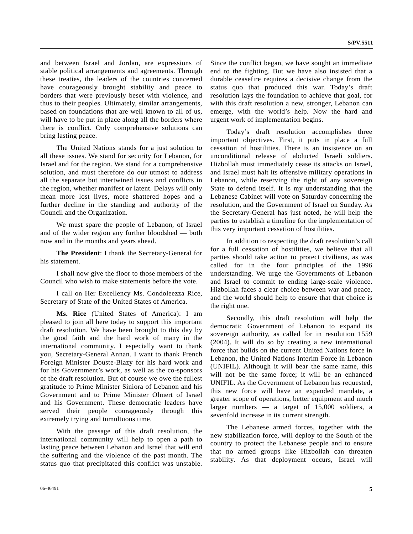and between Israel and Jordan, are expressions of stable political arrangements and agreements. Through these treaties, the leaders of the countries concerned have courageously brought stability and peace to borders that were previously beset with violence, and thus to their peoples. Ultimately, similar arrangements, based on foundations that are well known to all of us, will have to be put in place along all the borders where there is conflict. Only comprehensive solutions can bring lasting peace.

 The United Nations stands for a just solution to all these issues. We stand for security for Lebanon, for Israel and for the region. We stand for a comprehensive solution, and must therefore do our utmost to address all the separate but intertwined issues and conflicts in the region, whether manifest or latent. Delays will only mean more lost lives, more shattered hopes and a further decline in the standing and authority of the Council and the Organization.

 We must spare the people of Lebanon, of Israel and of the wider region any further bloodshed — both now and in the months and years ahead.

**The President**: I thank the Secretary-General for his statement.

 I shall now give the floor to those members of the Council who wish to make statements before the vote.

 I call on Her Excellency Ms. Condoleezza Rice, Secretary of State of the United States of America.

**Ms. Rice** (United States of America): I am pleased to join all here today to support this important draft resolution. We have been brought to this day by the good faith and the hard work of many in the international community. I especially want to thank you, Secretary-General Annan. I want to thank French Foreign Minister Douste-Blazy for his hard work and for his Government's work, as well as the co-sponsors of the draft resolution. But of course we owe the fullest gratitude to Prime Minister Siniora of Lebanon and his Government and to Prime Minister Olmert of Israel and his Government. These democratic leaders have served their people courageously through this extremely trying and tumultuous time.

 With the passage of this draft resolution, the international community will help to open a path to lasting peace between Lebanon and Israel that will end the suffering and the violence of the past month. The status quo that precipitated this conflict was unstable.

Since the conflict began, we have sought an immediate end to the fighting. But we have also insisted that a durable ceasefire requires a decisive change from the status quo that produced this war. Today's draft resolution lays the foundation to achieve that goal, for with this draft resolution a new, stronger, Lebanon can emerge, with the world's help. Now the hard and urgent work of implementation begins.

 Today's draft resolution accomplishes three important objectives. First, it puts in place a full cessation of hostilities. There is an insistence on an unconditional release of abducted Israeli soldiers. Hizbollah must immediately cease its attacks on Israel, and Israel must halt its offensive military operations in Lebanon, while reserving the right of any sovereign State to defend itself. It is my understanding that the Lebanese Cabinet will vote on Saturday concerning the resolution, and the Government of Israel on Sunday. As the Secretary-General has just noted, he will help the parties to establish a timeline for the implementation of this very important cessation of hostilities.

 In addition to respecting the draft resolution's call for a full cessation of hostilities, we believe that all parties should take action to protect civilians, as was called for in the four principles of the 1996 understanding. We urge the Governments of Lebanon and Israel to commit to ending large-scale violence. Hizbollah faces a clear choice between war and peace, and the world should help to ensure that that choice is the right one.

 Secondly, this draft resolution will help the democratic Government of Lebanon to expand its sovereign authority, as called for in resolution 1559 (2004). It will do so by creating a new international force that builds on the current United Nations force in Lebanon, the United Nations Interim Force in Lebanon (UNIFIL). Although it will bear the same name, this will not be the same force; it will be an enhanced UNIFIL. As the Government of Lebanon has requested, this new force will have an expanded mandate, a greater scope of operations, better equipment and much larger numbers — a target of 15,000 soldiers, a sevenfold increase in its current strength.

 The Lebanese armed forces, together with the new stabilization force, will deploy to the South of the country to protect the Lebanese people and to ensure that no armed groups like Hizbollah can threaten stability. As that deployment occurs, Israel will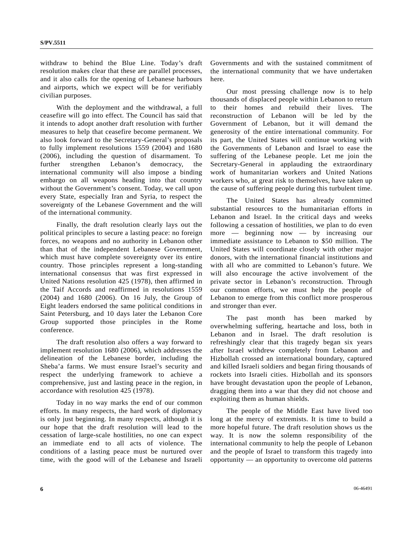withdraw to behind the Blue Line. Today's draft resolution makes clear that these are parallel processes, and it also calls for the opening of Lebanese harbours and airports, which we expect will be for verifiably civilian purposes.

 With the deployment and the withdrawal, a full ceasefire will go into effect. The Council has said that it intends to adopt another draft resolution with further measures to help that ceasefire become permanent. We also look forward to the Secretary-General's proposals to fully implement resolutions 1559 (2004) and 1680 (2006), including the question of disarmament. To further strengthen Lebanon's democracy, the international community will also impose a binding embargo on all weapons heading into that country without the Government's consent. Today, we call upon every State, especially Iran and Syria, to respect the sovereignty of the Lebanese Government and the will of the international community.

 Finally, the draft resolution clearly lays out the political principles to secure a lasting peace: no foreign forces, no weapons and no authority in Lebanon other than that of the independent Lebanese Government, which must have complete sovereignty over its entire country. Those principles represent a long-standing international consensus that was first expressed in United Nations resolution 425 (1978), then affirmed in the Taif Accords and reaffirmed in resolutions 1559 (2004) and 1680 (2006). On 16 July, the Group of Eight leaders endorsed the same political conditions in Saint Petersburg, and 10 days later the Lebanon Core Group supported those principles in the Rome conference.

 The draft resolution also offers a way forward to implement resolution 1680 (2006), which addresses the delineation of the Lebanese border, including the Sheba'a farms. We must ensure Israel's security and respect the underlying framework to achieve a comprehensive, just and lasting peace in the region, in accordance with resolution 425 (1978).

 Today in no way marks the end of our common efforts. In many respects, the hard work of diplomacy is only just beginning. In many respects, although it is our hope that the draft resolution will lead to the cessation of large-scale hostilities, no one can expect an immediate end to all acts of violence. The conditions of a lasting peace must be nurtured over time, with the good will of the Lebanese and Israeli Governments and with the sustained commitment of the international community that we have undertaken here.

 Our most pressing challenge now is to help thousands of displaced people within Lebanon to return to their homes and rebuild their lives. The reconstruction of Lebanon will be led by the Government of Lebanon, but it will demand the generosity of the entire international community. For its part, the United States will continue working with the Governments of Lebanon and Israel to ease the suffering of the Lebanese people. Let me join the Secretary-General in applauding the extraordinary work of humanitarian workers and United Nations workers who, at great risk to themselves, have taken up the cause of suffering people during this turbulent time.

 The United States has already committed substantial resources to the humanitarian efforts in Lebanon and Israel. In the critical days and weeks following a cessation of hostilities, we plan to do even more — beginning now — by increasing our immediate assistance to Lebanon to \$50 million. The United States will coordinate closely with other major donors, with the international financial institutions and with all who are committed to Lebanon's future. We will also encourage the active involvement of the private sector in Lebanon's reconstruction. Through our common efforts, we must help the people of Lebanon to emerge from this conflict more prosperous and stronger than ever.

 The past month has been marked by overwhelming suffering, heartache and loss, both in Lebanon and in Israel. The draft resolution is refreshingly clear that this tragedy began six years after Israel withdrew completely from Lebanon and Hizbollah crossed an international boundary, captured and killed Israeli soldiers and began firing thousands of rockets into Israeli cities. Hizbollah and its sponsors have brought devastation upon the people of Lebanon, dragging them into a war that they did not choose and exploiting them as human shields.

 The people of the Middle East have lived too long at the mercy of extremists. It is time to build a more hopeful future. The draft resolution shows us the way. It is now the solemn responsibility of the international community to help the people of Lebanon and the people of Israel to transform this tragedy into opportunity — an opportunity to overcome old patterns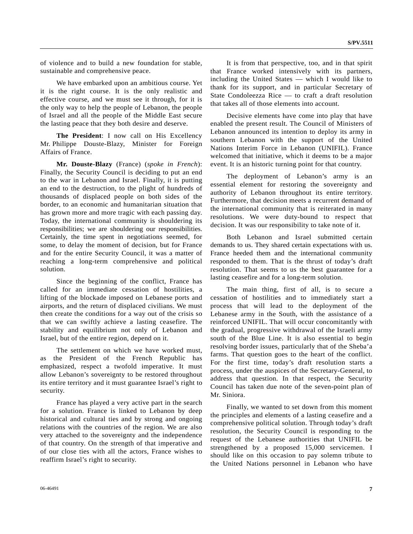of violence and to build a new foundation for stable, sustainable and comprehensive peace.

 We have embarked upon an ambitious course. Yet it is the right course. It is the only realistic and effective course, and we must see it through, for it is the only way to help the people of Lebanon, the people of Israel and all the people of the Middle East secure the lasting peace that they both desire and deserve.

 **The President**: I now call on His Excellency Mr. Philippe Douste-Blazy, Minister for Foreign Affairs of France.

 **Mr. Douste-Blazy** (France) (*spoke in French*): Finally, the Security Council is deciding to put an end to the war in Lebanon and Israel. Finally, it is putting an end to the destruction, to the plight of hundreds of thousands of displaced people on both sides of the border, to an economic and humanitarian situation that has grown more and more tragic with each passing day. Today, the international community is shouldering its responsibilities; we are shouldering our responsibilities. Certainly, the time spent in negotiations seemed, for some, to delay the moment of decision, but for France and for the entire Security Council, it was a matter of reaching a long-term comprehensive and political solution.

 Since the beginning of the conflict, France has called for an immediate cessation of hostilities, a lifting of the blockade imposed on Lebanese ports and airports, and the return of displaced civilians. We must then create the conditions for a way out of the crisis so that we can swiftly achieve a lasting ceasefire. The stability and equilibrium not only of Lebanon and Israel, but of the entire region, depend on it.

 The settlement on which we have worked must, as the President of the French Republic has emphasized, respect a twofold imperative. It must allow Lebanon's sovereignty to be restored throughout its entire territory and it must guarantee Israel's right to security.

 France has played a very active part in the search for a solution. France is linked to Lebanon by deep historical and cultural ties and by strong and ongoing relations with the countries of the region. We are also very attached to the sovereignty and the independence of that country. On the strength of that imperative and of our close ties with all the actors, France wishes to reaffirm Israel's right to security.

 It is from that perspective, too, and in that spirit that France worked intensively with its partners, including the United States — which I would like to thank for its support, and in particular Secretary of State Condoleezza Rice — to craft a draft resolution that takes all of those elements into account.

 Decisive elements have come into play that have enabled the present result. The Council of Ministers of Lebanon announced its intention to deploy its army in southern Lebanon with the support of the United Nations Interim Force in Lebanon (UNIFIL). France welcomed that initiative, which it deems to be a major event. It is an historic turning point for that country.

 The deployment of Lebanon's army is an essential element for restoring the sovereignty and authority of Lebanon throughout its entire territory. Furthermore, that decision meets a recurrent demand of the international community that is reiterated in many resolutions. We were duty-bound to respect that decision. It was our responsibility to take note of it.

 Both Lebanon and Israel submitted certain demands to us. They shared certain expectations with us. France heeded them and the international community responded to them. That is the thrust of today's draft resolution. That seems to us the best guarantee for a lasting ceasefire and for a long-term solution.

 The main thing, first of all, is to secure a cessation of hostilities and to immediately start a process that will lead to the deployment of the Lebanese army in the South, with the assistance of a reinforced UNIFIL. That will occur concomitantly with the gradual, progressive withdrawal of the Israeli army south of the Blue Line. It is also essential to begin resolving border issues, particularly that of the Sheba'a farms. That question goes to the heart of the conflict. For the first time, today's draft resolution starts a process, under the auspices of the Secretary-General, to address that question. In that respect, the Security Council has taken due note of the seven-point plan of Mr. Siniora.

 Finally, we wanted to set down from this moment the principles and elements of a lasting ceasefire and a comprehensive political solution. Through today's draft resolution, the Security Council is responding to the request of the Lebanese authorities that UNIFIL be strengthened by a proposed 15,000 servicemen. I should like on this occasion to pay solemn tribute to the United Nations personnel in Lebanon who have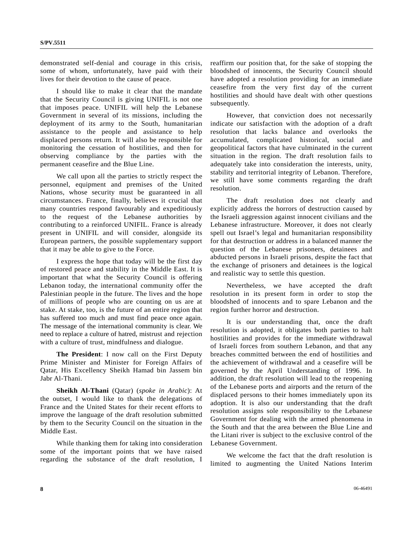demonstrated self-denial and courage in this crisis, some of whom, unfortunately, have paid with their lives for their devotion to the cause of peace.

 I should like to make it clear that the mandate that the Security Council is giving UNIFIL is not one that imposes peace. UNIFIL will help the Lebanese Government in several of its missions, including the deployment of its army to the South, humanitarian assistance to the people and assistance to help displaced persons return. It will also be responsible for monitoring the cessation of hostilities, and then for observing compliance by the parties with the permanent ceasefire and the Blue Line.

 We call upon all the parties to strictly respect the personnel, equipment and premises of the United Nations, whose security must be guaranteed in all circumstances. France, finally, believes it crucial that many countries respond favourably and expeditiously to the request of the Lebanese authorities by contributing to a reinforced UNIFIL. France is already present in UNIFIL and will consider, alongside its European partners, the possible supplementary support that it may be able to give to the Force.

 I express the hope that today will be the first day of restored peace and stability in the Middle East. It is important that what the Security Council is offering Lebanon today, the international community offer the Palestinian people in the future. The lives and the hope of millions of people who are counting on us are at stake. At stake, too, is the future of an entire region that has suffered too much and must find peace once again. The message of the international community is clear. We need to replace a culture of hatred, mistrust and rejection with a culture of trust, mindfulness and dialogue.

**The President**: I now call on the First Deputy Prime Minister and Minister for Foreign Affairs of Qatar, His Excellency Sheikh Hamad bin Jassem bin Jabr Al-Thani.

**Sheikh Al-Thani** (Qatar) (*spoke in Arabic*): At the outset, I would like to thank the delegations of France and the United States for their recent efforts to improve the language of the draft resolution submitted by them to the Security Council on the situation in the Middle East.

 While thanking them for taking into consideration some of the important points that we have raised regarding the substance of the draft resolution, I reaffirm our position that, for the sake of stopping the bloodshed of innocents, the Security Council should have adopted a resolution providing for an immediate ceasefire from the very first day of the current hostilities and should have dealt with other questions subsequently.

 However, that conviction does not necessarily indicate our satisfaction with the adoption of a draft resolution that lacks balance and overlooks the accumulated, complicated historical, social and geopolitical factors that have culminated in the current situation in the region. The draft resolution fails to adequately take into consideration the interests, unity, stability and territorial integrity of Lebanon. Therefore, we still have some comments regarding the draft resolution.

 The draft resolution does not clearly and explicitly address the horrors of destruction caused by the Israeli aggression against innocent civilians and the Lebanese infrastructure. Moreover, it does not clearly spell out Israel's legal and humanitarian responsibility for that destruction or address in a balanced manner the question of the Lebanese prisoners, detainees and abducted persons in Israeli prisons, despite the fact that the exchange of prisoners and detainees is the logical and realistic way to settle this question.

 Nevertheless, we have accepted the draft resolution in its present form in order to stop the bloodshed of innocents and to spare Lebanon and the region further horror and destruction.

 It is our understanding that, once the draft resolution is adopted, it obligates both parties to halt hostilities and provides for the immediate withdrawal of Israeli forces from southern Lebanon, and that any breaches committed between the end of hostilities and the achievement of withdrawal and a ceasefire will be governed by the April Understanding of 1996. In addition, the draft resolution will lead to the reopening of the Lebanese ports and airports and the return of the displaced persons to their homes immediately upon its adoption. It is also our understanding that the draft resolution assigns sole responsibility to the Lebanese Government for dealing with the armed phenomena in the South and that the area between the Blue Line and the Litani river is subject to the exclusive control of the Lebanese Government.

 We welcome the fact that the draft resolution is limited to augmenting the United Nations Interim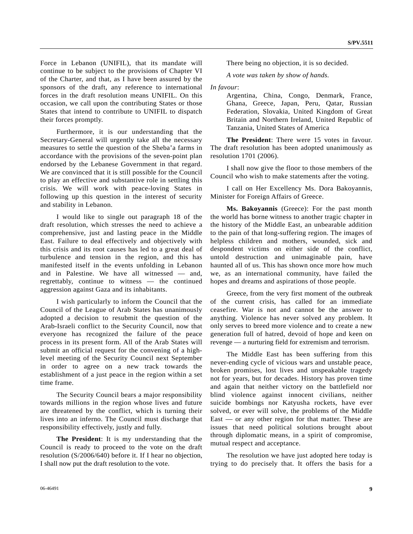Force in Lebanon (UNIFIL), that its mandate will continue to be subject to the provisions of Chapter VI of the Charter, and that, as I have been assured by the sponsors of the draft, any reference to international forces in the draft resolution means UNIFIL. On this occasion, we call upon the contributing States or those States that intend to contribute to UNIFIL to dispatch their forces promptly.

 Furthermore, it is our understanding that the Secretary-General will urgently take all the necessary measures to settle the question of the Sheba'a farms in accordance with the provisions of the seven-point plan endorsed by the Lebanese Government in that regard. We are convinced that it is still possible for the Council to play an effective and substantive role in settling this crisis. We will work with peace-loving States in following up this question in the interest of security and stability in Lebanon.

 I would like to single out paragraph 18 of the draft resolution, which stresses the need to achieve a comprehensive, just and lasting peace in the Middle East. Failure to deal effectively and objectively with this crisis and its root causes has led to a great deal of turbulence and tension in the region, and this has manifested itself in the events unfolding in Lebanon and in Palestine. We have all witnessed — and, regrettably, continue to witness — the continued aggression against Gaza and its inhabitants.

 I wish particularly to inform the Council that the Council of the League of Arab States has unanimously adopted a decision to resubmit the question of the Arab-Israeli conflict to the Security Council, now that everyone has recognized the failure of the peace process in its present form. All of the Arab States will submit an official request for the convening of a highlevel meeting of the Security Council next September in order to agree on a new track towards the establishment of a just peace in the region within a set time frame.

 The Security Council bears a major responsibility towards millions in the region whose lives and future are threatened by the conflict, which is turning their lives into an inferno. The Council must discharge that responsibility effectively, justly and fully.

**The President**: It is my understanding that the Council is ready to proceed to the vote on the draft resolution (S/2006/640) before it. If I hear no objection, I shall now put the draft resolution to the vote.

There being no objection, it is so decided.

*A vote was taken by show of hands.* 

#### *In favour*:

 Argentina, China, Congo, Denmark, France, Ghana, Greece, Japan, Peru, Qatar, Russian Federation, Slovakia, United Kingdom of Great Britain and Northern Ireland, United Republic of Tanzania, United States of America

**The President**: There were 15 votes in favour. The draft resolution has been adopted unanimously as resolution 1701 (2006).

 I shall now give the floor to those members of the Council who wish to make statements after the voting.

 I call on Her Excellency Ms. Dora Bakoyannis, Minister for Foreign Affairs of Greece.

**Ms. Bakoyannis** (Greece): For the past month the world has borne witness to another tragic chapter in the history of the Middle East, an unbearable addition to the pain of that long-suffering region. The images of helpless children and mothers, wounded, sick and despondent victims on either side of the conflict, untold destruction and unimaginable pain, have haunted all of us. This has shown once more how much we, as an international community, have failed the hopes and dreams and aspirations of those people.

 Greece, from the very first moment of the outbreak of the current crisis, has called for an immediate ceasefire. War is not and cannot be the answer to anything. Violence has never solved any problem. It only serves to breed more violence and to create a new generation full of hatred, devoid of hope and keen on revenge — a nurturing field for extremism and terrorism.

 The Middle East has been suffering from this never-ending cycle of vicious wars and unstable peace, broken promises, lost lives and unspeakable tragedy not for years, but for decades. History has proven time and again that neither victory on the battlefield nor blind violence against innocent civilians, neither suicide bombings nor Katyusha rockets, have ever solved, or ever will solve, the problems of the Middle East — or any other region for that matter. These are issues that need political solutions brought about through diplomatic means, in a spirit of compromise, mutual respect and acceptance.

 The resolution we have just adopted here today is trying to do precisely that. It offers the basis for a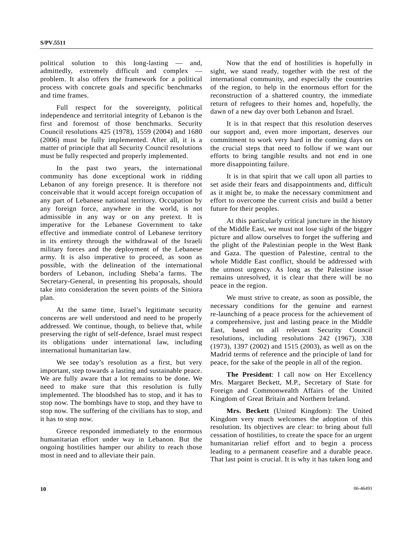political solution to this long-lasting — and, admittedly, extremely difficult and complex problem. It also offers the framework for a political process with concrete goals and specific benchmarks and time frames.

 Full respect for the sovereignty, political independence and territorial integrity of Lebanon is the first and foremost of those benchmarks. Security Council resolutions 425 (1978), 1559 (2004) and 1680 (2006) must be fully implemented. After all, it is a matter of principle that all Security Council resolutions must be fully respected and properly implemented.

 In the past two years, the international community has done exceptional work in ridding Lebanon of any foreign presence. It is therefore not conceivable that it would accept foreign occupation of any part of Lebanese national territory. Occupation by any foreign force, anywhere in the world, is not admissible in any way or on any pretext. It is imperative for the Lebanese Government to take effective and immediate control of Lebanese territory in its entirety through the withdrawal of the Israeli military forces and the deployment of the Lebanese army. It is also imperative to proceed, as soon as possible, with the delineation of the international borders of Lebanon, including Sheba'a farms. The Secretary-General, in presenting his proposals, should take into consideration the seven points of the Siniora plan.

 At the same time, Israel's legitimate security concerns are well understood and need to be properly addressed. We continue, though, to believe that, while preserving the right of self-defence, Israel must respect its obligations under international law, including international humanitarian law.

 We see today's resolution as a first, but very important, step towards a lasting and sustainable peace. We are fully aware that a lot remains to be done. We need to make sure that this resolution is fully implemented. The bloodshed has to stop, and it has to stop now. The bombings have to stop, and they have to stop now. The suffering of the civilians has to stop, and it has to stop now.

 Greece responded immediately to the enormous humanitarian effort under way in Lebanon. But the ongoing hostilities hamper our ability to reach those most in need and to alleviate their pain.

 Now that the end of hostilities is hopefully in sight, we stand ready, together with the rest of the international community, and especially the countries of the region, to help in the enormous effort for the reconstruction of a shattered country, the immediate return of refugees to their homes and, hopefully, the dawn of a new day over both Lebanon and Israel.

 It is in that respect that this resolution deserves our support and, even more important, deserves our commitment to work very hard in the coming days on the crucial steps that need to follow if we want our efforts to bring tangible results and not end in one more disappointing failure.

 It is in that spirit that we call upon all parties to set aside their fears and disappointments and, difficult as it might be, to make the necessary commitment and effort to overcome the current crisis and build a better future for their peoples.

 At this particularly critical juncture in the history of the Middle East, we must not lose sight of the bigger picture and allow ourselves to forget the suffering and the plight of the Palestinian people in the West Bank and Gaza. The question of Palestine, central to the whole Middle East conflict, should be addressed with the utmost urgency. As long as the Palestine issue remains unresolved, it is clear that there will be no peace in the region.

 We must strive to create, as soon as possible, the necessary conditions for the genuine and earnest re-launching of a peace process for the achievement of a comprehensive, just and lasting peace in the Middle East, based on all relevant Security Council resolutions, including resolutions 242 (1967), 338 (1973), 1397 (2002) and 1515 (2003), as well as on the Madrid terms of reference and the principle of land for peace, for the sake of the people in all of the region.

**The President**: I call now on Her Excellency Mrs. Margaret Beckett, M.P., Secretary of State for Foreign and Commonwealth Affairs of the United Kingdom of Great Britain and Northern Ireland.

**Mrs. Beckett** (United Kingdom): The United Kingdom very much welcomes the adoption of this resolution. Its objectives are clear: to bring about full cessation of hostilities, to create the space for an urgent humanitarian relief effort and to begin a process leading to a permanent ceasefire and a durable peace. That last point is crucial. It is why it has taken long and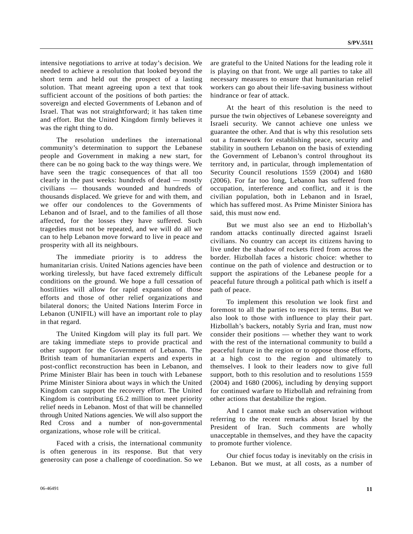intensive negotiations to arrive at today's decision. We needed to achieve a resolution that looked beyond the short term and held out the prospect of a lasting solution. That meant agreeing upon a text that took sufficient account of the positions of both parties: the sovereign and elected Governments of Lebanon and of Israel. That was not straightforward; it has taken time and effort. But the United Kingdom firmly believes it was the right thing to do.

 The resolution underlines the international community's determination to support the Lebanese people and Government in making a new start, for there can be no going back to the way things were. We have seen the tragic consequences of that all too clearly in the past weeks: hundreds of dead — mostly civilians — thousands wounded and hundreds of thousands displaced. We grieve for and with them, and we offer our condolences to the Governments of Lebanon and of Israel, and to the families of all those affected, for the losses they have suffered. Such tragedies must not be repeated, and we will do all we can to help Lebanon move forward to live in peace and prosperity with all its neighbours.

 The immediate priority is to address the humanitarian crisis. United Nations agencies have been working tirelessly, but have faced extremely difficult conditions on the ground. We hope a full cessation of hostilities will allow for rapid expansion of those efforts and those of other relief organizations and bilateral donors; the United Nations Interim Force in Lebanon (UNIFIL) will have an important role to play in that regard.

 The United Kingdom will play its full part. We are taking immediate steps to provide practical and other support for the Government of Lebanon. The British team of humanitarian experts and experts in post-conflict reconstruction has been in Lebanon, and Prime Minister Blair has been in touch with Lebanese Prime Minister Siniora about ways in which the United Kingdom can support the recovery effort. The United Kingdom is contributing £6.2 million to meet priority relief needs in Lebanon. Most of that will be channelled through United Nations agencies. We will also support the Red Cross and a number of non-governmental organizations, whose role will be critical.

 Faced with a crisis, the international community is often generous in its response. But that very generosity can pose a challenge of coordination. So we are grateful to the United Nations for the leading role it is playing on that front. We urge all parties to take all necessary measures to ensure that humanitarian relief workers can go about their life-saving business without hindrance or fear of attack.

 At the heart of this resolution is the need to pursue the twin objectives of Lebanese sovereignty and Israeli security. We cannot achieve one unless we guarantee the other. And that is why this resolution sets out a framework for establishing peace, security and stability in southern Lebanon on the basis of extending the Government of Lebanon's control throughout its territory and, in particular, through implementation of Security Council resolutions 1559 (2004) and 1680 (2006). For far too long, Lebanon has suffered from occupation, interference and conflict, and it is the civilian population, both in Lebanon and in Israel, which has suffered most. As Prime Minister Siniora has said, this must now end.

 But we must also see an end to Hizbollah's random attacks continually directed against Israeli civilians. No country can accept its citizens having to live under the shadow of rockets fired from across the border. Hizbollah faces a historic choice: whether to continue on the path of violence and destruction or to support the aspirations of the Lebanese people for a peaceful future through a political path which is itself a path of peace.

 To implement this resolution we look first and foremost to all the parties to respect its terms. But we also look to those with influence to play their part. Hizbollah's backers, notably Syria and Iran, must now consider their positions — whether they want to work with the rest of the international community to build a peaceful future in the region or to oppose those efforts, at a high cost to the region and ultimately to themselves. I look to their leaders now to give full support, both to this resolution and to resolutions 1559 (2004) and 1680 (2006), including by denying support for continued warfare to Hizbollah and refraining from other actions that destabilize the region.

 And I cannot make such an observation without referring to the recent remarks about Israel by the President of Iran. Such comments are wholly unacceptable in themselves, and they have the capacity to promote further violence.

 Our chief focus today is inevitably on the crisis in Lebanon. But we must, at all costs, as a number of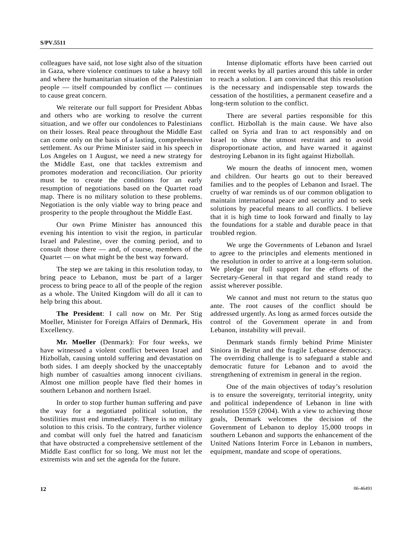colleagues have said, not lose sight also of the situation in Gaza, where violence continues to take a heavy toll and where the humanitarian situation of the Palestinian people — itself compounded by conflict — continues to cause great concern.

 We reiterate our full support for President Abbas and others who are working to resolve the current situation, and we offer our condolences to Palestinians on their losses. Real peace throughout the Middle East can come only on the basis of a lasting, comprehensive settlement. As our Prime Minister said in his speech in Los Angeles on 1 August, we need a new strategy for the Middle East, one that tackles extremism and promotes moderation and reconciliation. Our priority must be to create the conditions for an early resumption of negotiations based on the Quartet road map. There is no military solution to these problems. Negotiation is the only viable way to bring peace and prosperity to the people throughout the Middle East.

 Our own Prime Minister has announced this evening his intention to visit the region, in particular Israel and Palestine, over the coming period, and to consult those there — and, of course, members of the Quartet — on what might be the best way forward.

 The step we are taking in this resolution today, to bring peace to Lebanon, must be part of a larger process to bring peace to all of the people of the region as a whole. The United Kingdom will do all it can to help bring this about.

**The President**: I call now on Mr. Per Stig Moeller, Minister for Foreign Affairs of Denmark, His Excellency.

**Mr. Moeller** (Denmark): For four weeks, we have witnessed a violent conflict between Israel and Hizbollah, causing untold suffering and devastation on both sides. I am deeply shocked by the unacceptably high number of casualties among innocent civilians. Almost one million people have fled their homes in southern Lebanon and northern Israel.

 In order to stop further human suffering and pave the way for a negotiated political solution, the hostilities must end immediately. There is no military solution to this crisis. To the contrary, further violence and combat will only fuel the hatred and fanaticism that have obstructed a comprehensive settlement of the Middle East conflict for so long. We must not let the extremists win and set the agenda for the future.

 Intense diplomatic efforts have been carried out in recent weeks by all parties around this table in order to reach a solution. I am convinced that this resolution is the necessary and indispensable step towards the cessation of the hostilities, a permanent ceasefire and a long-term solution to the conflict.

 There are several parties responsible for this conflict. Hizbollah is the main cause. We have also called on Syria and Iran to act responsibly and on Israel to show the utmost restraint and to avoid disproportionate action, and have warned it against destroying Lebanon in its fight against Hizbollah.

 We mourn the deaths of innocent men, women and children. Our hearts go out to their bereaved families and to the peoples of Lebanon and Israel. The cruelty of war reminds us of our common obligation to maintain international peace and security and to seek solutions by peaceful means to all conflicts. I believe that it is high time to look forward and finally to lay the foundations for a stable and durable peace in that troubled region.

 We urge the Governments of Lebanon and Israel to agree to the principles and elements mentioned in the resolution in order to arrive at a long-term solution. We pledge our full support for the efforts of the Secretary-General in that regard and stand ready to assist wherever possible.

 We cannot and must not return to the status quo ante. The root causes of the conflict should be addressed urgently. As long as armed forces outside the control of the Government operate in and from Lebanon, instability will prevail.

 Denmark stands firmly behind Prime Minister Siniora in Beirut and the fragile Lebanese democracy. The overriding challenge is to safeguard a stable and democratic future for Lebanon and to avoid the strengthening of extremism in general in the region.

 One of the main objectives of today's resolution is to ensure the sovereignty, territorial integrity, unity and political independence of Lebanon in line with resolution 1559 (2004). With a view to achieving those goals, Denmark welcomes the decision of the Government of Lebanon to deploy 15,000 troops in southern Lebanon and supports the enhancement of the United Nations Interim Force in Lebanon in numbers, equipment, mandate and scope of operations.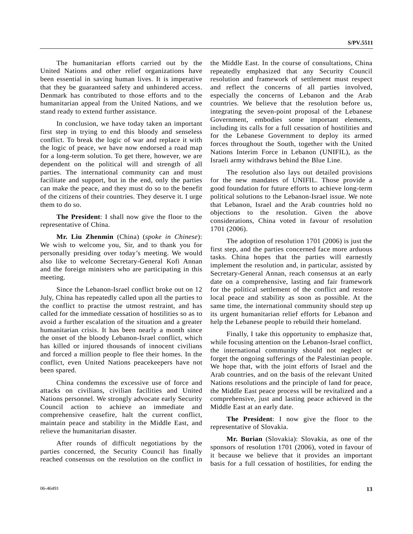The humanitarian efforts carried out by the United Nations and other relief organizations have been essential in saving human lives. It is imperative that they be guaranteed safety and unhindered access. Denmark has contributed to those efforts and to the humanitarian appeal from the United Nations, and we stand ready to extend further assistance.

 In conclusion, we have today taken an important first step in trying to end this bloody and senseless conflict. To break the logic of war and replace it with the logic of peace, we have now endorsed a road map for a long-term solution. To get there, however, we are dependent on the political will and strength of all parties. The international community can and must facilitate and support, but in the end, only the parties can make the peace, and they must do so to the benefit of the citizens of their countries. They deserve it. I urge them to do so.

**The President**: I shall now give the floor to the representative of China.

**Mr. Liu Zhenmin** (China) (*spoke in Chinese*): We wish to welcome you, Sir, and to thank you for personally presiding over today's meeting. We would also like to welcome Secretary-General Kofi Annan and the foreign ministers who are participating in this meeting.

 Since the Lebanon-Israel conflict broke out on 12 July, China has repeatedly called upon all the parties to the conflict to practise the utmost restraint, and has called for the immediate cessation of hostilities so as to avoid a further escalation of the situation and a greater humanitarian crisis. It has been nearly a month since the onset of the bloody Lebanon-Israel conflict, which has killed or injured thousands of innocent civilians and forced a million people to flee their homes. In the conflict, even United Nations peacekeepers have not been spared.

 China condemns the excessive use of force and attacks on civilians, civilian facilities and United Nations personnel. We strongly advocate early Security Council action to achieve an immediate and comprehensive ceasefire, halt the current conflict, maintain peace and stability in the Middle East, and relieve the humanitarian disaster.

 After rounds of difficult negotiations by the parties concerned, the Security Council has finally reached consensus on the resolution on the conflict in the Middle East. In the course of consultations, China repeatedly emphasized that any Security Council resolution and framework of settlement must respect and reflect the concerns of all parties involved, especially the concerns of Lebanon and the Arab countries. We believe that the resolution before us, integrating the seven-point proposal of the Lebanese Government, embodies some important elements, including its calls for a full cessation of hostilities and for the Lebanese Government to deploy its armed forces throughout the South, together with the United Nations Interim Force in Lebanon (UNIFIL), as the Israeli army withdraws behind the Blue Line.

 The resolution also lays out detailed provisions for the new mandates of UNIFIL. Those provide a good foundation for future efforts to achieve long-term political solutions to the Lebanon-Israel issue. We note that Lebanon, Israel and the Arab countries hold no objections to the resolution. Given the above considerations, China voted in favour of resolution 1701 (2006).

 The adoption of resolution 1701 (2006) is just the first step, and the parties concerned face more arduous tasks. China hopes that the parties will earnestly implement the resolution and, in particular, assisted by Secretary-General Annan, reach consensus at an early date on a comprehensive, lasting and fair framework for the political settlement of the conflict and restore local peace and stability as soon as possible. At the same time, the international community should step up its urgent humanitarian relief efforts for Lebanon and help the Lebanese people to rebuild their homeland.

 Finally, I take this opportunity to emphasize that, while focusing attention on the Lebanon-Israel conflict, the international community should not neglect or forget the ongoing sufferings of the Palestinian people. We hope that, with the joint efforts of Israel and the Arab countries, and on the basis of the relevant United Nations resolutions and the principle of land for peace, the Middle East peace process will be revitalized and a comprehensive, just and lasting peace achieved in the Middle East at an early date.

**The President**: I now give the floor to the representative of Slovakia.

**Mr. Burian** (Slovakia): Slovakia, as one of the sponsors of resolution 1701 (2006), voted in favour of it because we believe that it provides an important basis for a full cessation of hostilities, for ending the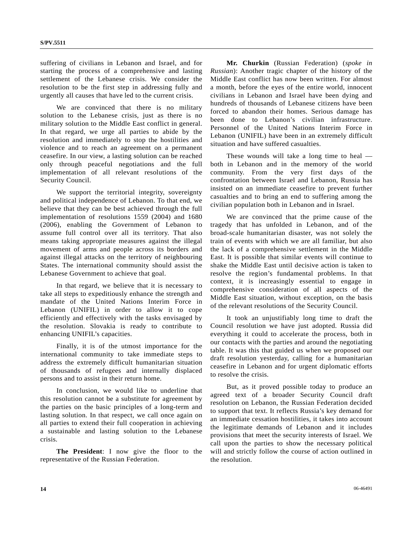suffering of civilians in Lebanon and Israel, and for starting the process of a comprehensive and lasting settlement of the Lebanese crisis. We consider the resolution to be the first step in addressing fully and urgently all causes that have led to the current crisis.

We are convinced that there is no military solution to the Lebanese crisis, just as there is no military solution to the Middle East conflict in general. In that regard, we urge all parties to abide by the resolution and immediately to stop the hostilities and violence and to reach an agreement on a permanent ceasefire. In our view, a lasting solution can be reached only through peaceful negotiations and the full implementation of all relevant resolutions of the Security Council.

 We support the territorial integrity, sovereignty and political independence of Lebanon. To that end, we believe that they can be best achieved through the full implementation of resolutions 1559 (2004) and 1680 (2006), enabling the Government of Lebanon to assume full control over all its territory. That also means taking appropriate measures against the illegal movement of arms and people across its borders and against illegal attacks on the territory of neighbouring States. The international community should assist the Lebanese Government to achieve that goal.

 In that regard, we believe that it is necessary to take all steps to expeditiously enhance the strength and mandate of the United Nations Interim Force in Lebanon (UNIFIL) in order to allow it to cope efficiently and effectively with the tasks envisaged by the resolution. Slovakia is ready to contribute to enhancing UNIFIL's capacities.

 Finally, it is of the utmost importance for the international community to take immediate steps to address the extremely difficult humanitarian situation of thousands of refugees and internally displaced persons and to assist in their return home.

 In conclusion, we would like to underline that this resolution cannot be a substitute for agreement by the parties on the basic principles of a long-term and lasting solution. In that respect, we call once again on all parties to extend their full cooperation in achieving a sustainable and lasting solution to the Lebanese crisis.

**The President**: I now give the floor to the representative of the Russian Federation.

**Mr. Churkin** (Russian Federation) (*spoke in Russian*): Another tragic chapter of the history of the Middle East conflict has now been written. For almost a month, before the eyes of the entire world, innocent civilians in Lebanon and Israel have been dying and hundreds of thousands of Lebanese citizens have been forced to abandon their homes. Serious damage has been done to Lebanon's civilian infrastructure. Personnel of the United Nations Interim Force in Lebanon (UNIFIL) have been in an extremely difficult situation and have suffered casualties.

 These wounds will take a long time to heal both in Lebanon and in the memory of the world community. From the very first days of the confrontation between Israel and Lebanon, Russia has insisted on an immediate ceasefire to prevent further casualties and to bring an end to suffering among the civilian population both in Lebanon and in Israel.

 We are convinced that the prime cause of the tragedy that has unfolded in Lebanon, and of the broad-scale humanitarian disaster, was not solely the train of events with which we are all familiar, but also the lack of a comprehensive settlement in the Middle East. It is possible that similar events will continue to shake the Middle East until decisive action is taken to resolve the region's fundamental problems. In that context, it is increasingly essential to engage in comprehensive consideration of all aspects of the Middle East situation, without exception, on the basis of the relevant resolutions of the Security Council.

 It took an unjustifiably long time to draft the Council resolution we have just adopted. Russia did everything it could to accelerate the process, both in our contacts with the parties and around the negotiating table. It was this that guided us when we proposed our draft resolution yesterday, calling for a humanitarian ceasefire in Lebanon and for urgent diplomatic efforts to resolve the crisis.

 But, as it proved possible today to produce an agreed text of a broader Security Council draft resolution on Lebanon, the Russian Federation decided to support that text. It reflects Russia's key demand for an immediate cessation hostilities, it takes into account the legitimate demands of Lebanon and it includes provisions that meet the security interests of Israel. We call upon the parties to show the necessary political will and strictly follow the course of action outlined in the resolution.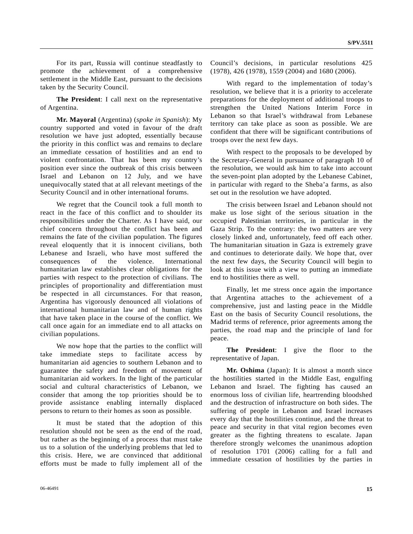For its part, Russia will continue steadfastly to promote the achievement of a comprehensive settlement in the Middle East, pursuant to the decisions taken by the Security Council.

**The President**: I call next on the representative of Argentina.

**Mr. Mayoral** (Argentina) (*spoke in Spanish*): My country supported and voted in favour of the draft resolution we have just adopted, essentially because the priority in this conflict was and remains to declare an immediate cessation of hostilities and an end to violent confrontation. That has been my country's position ever since the outbreak of this crisis between Israel and Lebanon on 12 July, and we have unequivocally stated that at all relevant meetings of the Security Council and in other international forums.

 We regret that the Council took a full month to react in the face of this conflict and to shoulder its responsibilities under the Charter. As I have said, our chief concern throughout the conflict has been and remains the fate of the civilian population. The figures reveal eloquently that it is innocent civilians, both Lebanese and Israeli, who have most suffered the consequences of the violence. International humanitarian law establishes clear obligations for the parties with respect to the protection of civilians. The principles of proportionality and differentiation must be respected in all circumstances. For that reason, Argentina has vigorously denounced all violations of international humanitarian law and of human rights that have taken place in the course of the conflict. We call once again for an immediate end to all attacks on civilian populations.

 We now hope that the parties to the conflict will take immediate steps to facilitate access by humanitarian aid agencies to southern Lebanon and to guarantee the safety and freedom of movement of humanitarian aid workers. In the light of the particular social and cultural characteristics of Lebanon, we consider that among the top priorities should be to provide assistance enabling internally displaced persons to return to their homes as soon as possible.

 It must be stated that the adoption of this resolution should not be seen as the end of the road, but rather as the beginning of a process that must take us to a solution of the underlying problems that led to this crisis. Here, we are convinced that additional efforts must be made to fully implement all of the Council's decisions, in particular resolutions 425 (1978), 426 (1978), 1559 (2004) and 1680 (2006).

 With regard to the implementation of today's resolution, we believe that it is a priority to accelerate preparations for the deployment of additional troops to strengthen the United Nations Interim Force in Lebanon so that Israel's withdrawal from Lebanese territory can take place as soon as possible. We are confident that there will be significant contributions of troops over the next few days.

 With respect to the proposals to be developed by the Secretary-General in pursuance of paragraph 10 of the resolution, we would ask him to take into account the seven-point plan adopted by the Lebanese Cabinet, in particular with regard to the Sheba'a farms, as also set out in the resolution we have adopted.

 The crisis between Israel and Lebanon should not make us lose sight of the serious situation in the occupied Palestinian territories, in particular in the Gaza Strip. To the contrary: the two matters are very closely linked and, unfortunately, feed off each other. The humanitarian situation in Gaza is extremely grave and continues to deteriorate daily. We hope that, over the next few days, the Security Council will begin to look at this issue with a view to putting an immediate end to hostilities there as well.

 Finally, let me stress once again the importance that Argentina attaches to the achievement of a comprehensive, just and lasting peace in the Middle East on the basis of Security Council resolutions, the Madrid terms of reference, prior agreements among the parties, the road map and the principle of land for peace.

**The President**: I give the floor to the representative of Japan.

**Mr. Oshima** (Japan): It is almost a month since the hostilities started in the Middle East, engulfing Lebanon and Israel. The fighting has caused an enormous loss of civilian life, heartrending bloodshed and the destruction of infrastructure on both sides. The suffering of people in Lebanon and Israel increases every day that the hostilities continue, and the threat to peace and security in that vital region becomes even greater as the fighting threatens to escalate. Japan therefore strongly welcomes the unanimous adoption of resolution 1701 (2006) calling for a full and immediate cessation of hostilities by the parties in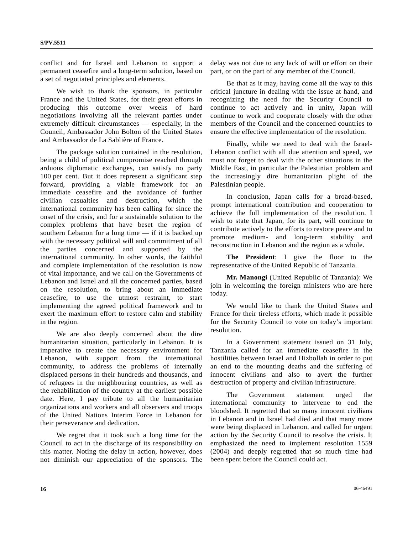conflict and for Israel and Lebanon to support a permanent ceasefire and a long-term solution, based on a set of negotiated principles and elements.

 We wish to thank the sponsors, in particular France and the United States, for their great efforts in producing this outcome over weeks of hard negotiations involving all the relevant parties under extremely difficult circumstances — especially, in the Council, Ambassador John Bolton of the United States and Ambassador de La Sablière of France.

 The package solution contained in the resolution, being a child of political compromise reached through arduous diplomatic exchanges, can satisfy no party 100 per cent. But it does represent a significant step forward, providing a viable framework for an immediate ceasefire and the avoidance of further civilian casualties and destruction, which the international community has been calling for since the onset of the crisis, and for a sustainable solution to the complex problems that have beset the region of southern Lebanon for a long time — if it is backed up with the necessary political will and commitment of all the parties concerned and supported by the international community. In other words, the faithful and complete implementation of the resolution is now of vital importance, and we call on the Governments of Lebanon and Israel and all the concerned parties, based on the resolution, to bring about an immediate ceasefire, to use the utmost restraint, to start implementing the agreed political framework and to exert the maximum effort to restore calm and stability in the region.

 We are also deeply concerned about the dire humanitarian situation, particularly in Lebanon. It is imperative to create the necessary environment for Lebanon, with support from the international community, to address the problems of internally displaced persons in their hundreds and thousands, and of refugees in the neighbouring countries, as well as the rehabilitation of the country at the earliest possible date. Here, I pay tribute to all the humanitarian organizations and workers and all observers and troops of the United Nations Interim Force in Lebanon for their perseverance and dedication.

 We regret that it took such a long time for the Council to act in the discharge of its responsibility on this matter. Noting the delay in action, however, does not diminish our appreciation of the sponsors. The delay was not due to any lack of will or effort on their part, or on the part of any member of the Council.

 Be that as it may, having come all the way to this critical juncture in dealing with the issue at hand, and recognizing the need for the Security Council to continue to act actively and in unity, Japan will continue to work and cooperate closely with the other members of the Council and the concerned countries to ensure the effective implementation of the resolution.

 Finally, while we need to deal with the Israel-Lebanon conflict with all due attention and speed, we must not forget to deal with the other situations in the Middle East, in particular the Palestinian problem and the increasingly dire humanitarian plight of the Palestinian people.

 In conclusion, Japan calls for a broad-based, prompt international contribution and cooperation to achieve the full implementation of the resolution. I wish to state that Japan, for its part, will continue to contribute actively to the efforts to restore peace and to promote medium- and long-term stability and reconstruction in Lebanon and the region as a whole.

**The President**: I give the floor to the representative of the United Republic of Tanzania.

 **Mr. Manongi** (United Republic of Tanzania): We join in welcoming the foreign ministers who are here today.

 We would like to thank the United States and France for their tireless efforts, which made it possible for the Security Council to vote on today's important resolution.

 In a Government statement issued on 31 July, Tanzania called for an immediate ceasefire in the hostilities between Israel and Hizbollah in order to put an end to the mounting deaths and the suffering of innocent civilians and also to avert the further destruction of property and civilian infrastructure.

 The Government statement urged the international community to intervene to end the bloodshed. It regretted that so many innocent civilians in Lebanon and in Israel had died and that many more were being displaced in Lebanon, and called for urgent action by the Security Council to resolve the crisis. It emphasized the need to implement resolution 1559 (2004) and deeply regretted that so much time had been spent before the Council could act.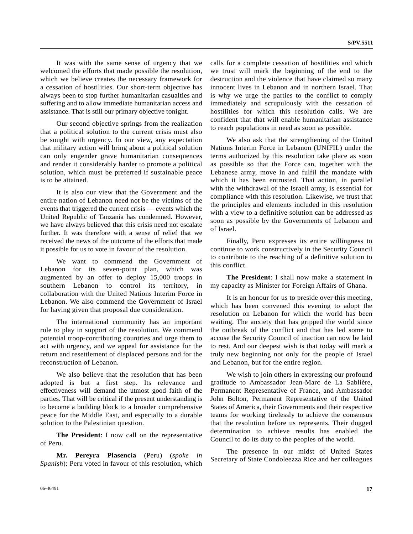It was with the same sense of urgency that we welcomed the efforts that made possible the resolution, which we believe creates the necessary framework for a cessation of hostilities. Our short-term objective has always been to stop further humanitarian casualties and suffering and to allow immediate humanitarian access and assistance. That is still our primary objective tonight.

 Our second objective springs from the realization that a political solution to the current crisis must also be sought with urgency. In our view, any expectation that military action will bring about a political solution can only engender grave humanitarian consequences and render it considerably harder to promote a political solution, which must be preferred if sustainable peace is to be attained.

 It is also our view that the Government and the entire nation of Lebanon need not be the victims of the events that triggered the current crisis — events which the United Republic of Tanzania has condemned. However, we have always believed that this crisis need not escalate further. It was therefore with a sense of relief that we received the news of the outcome of the efforts that made it possible for us to vote in favour of the resolution.

 We want to commend the Government of Lebanon for its seven-point plan, which was augmented by an offer to deploy 15,000 troops in southern Lebanon to control its territory, in collaboration with the United Nations Interim Force in Lebanon. We also commend the Government of Israel for having given that proposal due consideration.

 The international community has an important role to play in support of the resolution. We commend potential troop-contributing countries and urge them to act with urgency, and we appeal for assistance for the return and resettlement of displaced persons and for the reconstruction of Lebanon.

 We also believe that the resolution that has been adopted is but a first step. Its relevance and effectiveness will demand the utmost good faith of the parties. That will be critical if the present understanding is to become a building block to a broader comprehensive peace for the Middle East, and especially to a durable solution to the Palestinian question.

**The President**: I now call on the representative of Peru.

**Mr. Pereyra Plasencia** (Peru) (*spoke in Spanish*): Peru voted in favour of this resolution, which calls for a complete cessation of hostilities and which we trust will mark the beginning of the end to the destruction and the violence that have claimed so many innocent lives in Lebanon and in northern Israel. That is why we urge the parties to the conflict to comply immediately and scrupulously with the cessation of hostilities for which this resolution calls. We are confident that that will enable humanitarian assistance to reach populations in need as soon as possible.

 We also ask that the strengthening of the United Nations Interim Force in Lebanon (UNIFIL) under the terms authorized by this resolution take place as soon as possible so that the Force can, together with the Lebanese army, move in and fulfil the mandate with which it has been entrusted. That action, in parallel with the withdrawal of the Israeli army, is essential for compliance with this resolution. Likewise, we trust that the principles and elements included in this resolution with a view to a definitive solution can be addressed as soon as possible by the Governments of Lebanon and of Israel.

 Finally, Peru expresses its entire willingness to continue to work constructively in the Security Council to contribute to the reaching of a definitive solution to this conflict.

**The President**: I shall now make a statement in my capacity as Minister for Foreign Affairs of Ghana.

 It is an honour for us to preside over this meeting, which has been convened this evening to adopt the resolution on Lebanon for which the world has been waiting. The anxiety that has gripped the world since the outbreak of the conflict and that has led some to accuse the Security Council of inaction can now be laid to rest. And our deepest wish is that today will mark a truly new beginning not only for the people of Israel and Lebanon, but for the entire region.

We wish to join others in expressing our profound gratitude to Ambassador Jean-Marc de La Sablière, Permanent Representative of France, and Ambassador John Bolton, Permanent Representative of the United States of America, their Governments and their respective teams for working tirelessly to achieve the consensus that the resolution before us represents. Their dogged determination to achieve results has enabled the Council to do its duty to the peoples of the world.

 The presence in our midst of United States Secretary of State Condoleezza Rice and her colleagues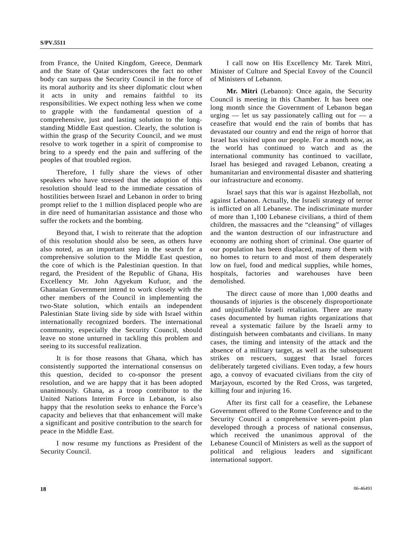from France, the United Kingdom, Greece, Denmark and the State of Qatar underscores the fact no other body can surpass the Security Council in the force of its moral authority and its sheer diplomatic clout when it acts in unity and remains faithful to its responsibilities. We expect nothing less when we come to grapple with the fundamental question of a comprehensive, just and lasting solution to the longstanding Middle East question. Clearly, the solution is within the grasp of the Security Council, and we must resolve to work together in a spirit of compromise to bring to a speedy end the pain and suffering of the peoples of that troubled region.

 Therefore, I fully share the views of other speakers who have stressed that the adoption of this resolution should lead to the immediate cessation of hostilities between Israel and Lebanon in order to bring prompt relief to the 1 million displaced people who are in dire need of humanitarian assistance and those who suffer the rockets and the bombing.

 Beyond that, I wish to reiterate that the adoption of this resolution should also be seen, as others have also noted, as an important step in the search for a comprehensive solution to the Middle East question, the core of which is the Palestinian question. In that regard, the President of the Republic of Ghana, His Excellency Mr. John Agyekum Kufuor, and the Ghanaian Government intend to work closely with the other members of the Council in implementing the two-State solution, which entails an independent Palestinian State living side by side with Israel within internationally recognized borders. The international community, especially the Security Council, should leave no stone unturned in tackling this problem and seeing to its successful realization.

 It is for those reasons that Ghana, which has consistently supported the international consensus on this question, decided to co-sponsor the present resolution, and we are happy that it has been adopted unanimously. Ghana, as a troop contributor to the United Nations Interim Force in Lebanon, is also happy that the resolution seeks to enhance the Force's capacity and believes that that enhancement will make a significant and positive contribution to the search for peace in the Middle East.

 I now resume my functions as President of the Security Council.

 I call now on His Excellency Mr. Tarek Mitri, Minister of Culture and Special Envoy of the Council of Ministers of Lebanon.

**Mr. Mitri** (Lebanon): Once again, the Security Council is meeting in this Chamber. It has been one long month since the Government of Lebanon began urging — let us say passionately calling out for — a ceasefire that would end the rain of bombs that has devastated our country and end the reign of horror that Israel has visited upon our people. For a month now, as the world has continued to watch and as the international community has continued to vacillate, Israel has besieged and ravaged Lebanon, creating a humanitarian and environmental disaster and shattering our infrastructure and economy.

 Israel says that this war is against Hezbollah, not against Lebanon. Actually, the Israeli strategy of terror is inflicted on all Lebanese. The indiscriminate murder of more than 1,100 Lebanese civilians, a third of them children, the massacres and the "cleansing" of villages and the wanton destruction of our infrastructure and economy are nothing short of criminal. One quarter of our population has been displaced, many of them with no homes to return to and most of them desperately low on fuel, food and medical supplies, while homes, hospitals, factories and warehouses have been demolished.

 The direct cause of more than 1,000 deaths and thousands of injuries is the obscenely disproportionate and unjustifiable Israeli retaliation. There are many cases documented by human rights organizations that reveal a systematic failure by the Israeli army to distinguish between combatants and civilians. In many cases, the timing and intensity of the attack and the absence of a military target, as well as the subsequent strikes on rescuers, suggest that Israel forces deliberately targeted civilians. Even today, a few hours ago, a convoy of evacuated civilians from the city of Marjayoun, escorted by the Red Cross, was targeted, killing four and injuring 16.

 After its first call for a ceasefire, the Lebanese Government offered to the Rome Conference and to the Security Council a comprehensive seven-point plan developed through a process of national consensus, which received the unanimous approval of the Lebanese Council of Ministers as well as the support of political and religious leaders and significant international support.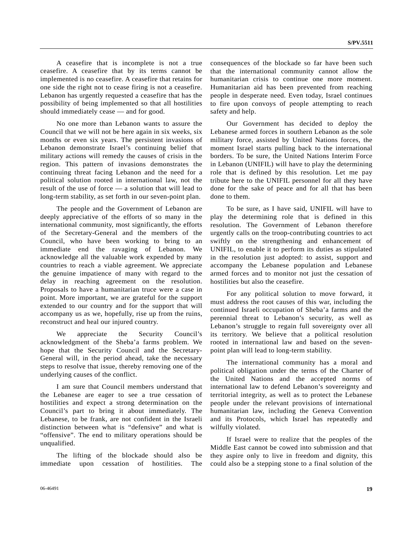A ceasefire that is incomplete is not a true ceasefire. A ceasefire that by its terms cannot be implemented is no ceasefire. A ceasefire that retains for one side the right not to cease firing is not a ceasefire. Lebanon has urgently requested a ceasefire that has the possibility of being implemented so that all hostilities should immediately cease — and for good.

 No one more than Lebanon wants to assure the Council that we will not be here again in six weeks, six months or even six years. The persistent invasions of Lebanon demonstrate Israel's continuing belief that military actions will remedy the causes of crisis in the region. This pattern of invasions demonstrates the continuing threat facing Lebanon and the need for a political solution rooted in international law, not the result of the use of force — a solution that will lead to long-term stability, as set forth in our seven-point plan.

 The people and the Government of Lebanon are deeply appreciative of the efforts of so many in the international community, most significantly, the efforts of the Secretary-General and the members of the Council, who have been working to bring to an immediate end the ravaging of Lebanon. We acknowledge all the valuable work expended by many countries to reach a viable agreement. We appreciate the genuine impatience of many with regard to the delay in reaching agreement on the resolution. Proposals to have a humanitarian truce were a case in point. More important, we are grateful for the support extended to our country and for the support that will accompany us as we, hopefully, rise up from the ruins, reconstruct and heal our injured country.

 We appreciate the Security Council's acknowledgment of the Sheba'a farms problem. We hope that the Security Council and the Secretary-General will, in the period ahead, take the necessary steps to resolve that issue, thereby removing one of the underlying causes of the conflict.

 I am sure that Council members understand that the Lebanese are eager to see a true cessation of hostilities and expect a strong determination on the Council's part to bring it about immediately. The Lebanese, to be frank, are not confident in the Israeli distinction between what is "defensive" and what is "offensive". The end to military operations should be unqualified.

 The lifting of the blockade should also be immediate upon cessation of hostilities. The consequences of the blockade so far have been such that the international community cannot allow the humanitarian crisis to continue one more moment. Humanitarian aid has been prevented from reaching people in desperate need. Even today, Israel continues to fire upon convoys of people attempting to reach safety and help.

 Our Government has decided to deploy the Lebanese armed forces in southern Lebanon as the sole military force, assisted by United Nations forces, the moment Israel starts pulling back to the international borders. To be sure, the United Nations Interim Force in Lebanon (UNIFIL) will have to play the determining role that is defined by this resolution. Let me pay tribute here to the UNIFIL personnel for all they have done for the sake of peace and for all that has been done to them.

 To be sure, as I have said, UNIFIL will have to play the determining role that is defined in this resolution. The Government of Lebanon therefore urgently calls on the troop-contributing countries to act swiftly on the strengthening and enhancement of UNIFIL, to enable it to perform its duties as stipulated in the resolution just adopted: to assist, support and accompany the Lebanese population and Lebanese armed forces and to monitor not just the cessation of hostilities but also the ceasefire.

 For any political solution to move forward, it must address the root causes of this war, including the continued Israeli occupation of Sheba'a farms and the perennial threat to Lebanon's security, as well as Lebanon's struggle to regain full sovereignty over all its territory. We believe that a political resolution rooted in international law and based on the sevenpoint plan will lead to long-term stability.

 The international community has a moral and political obligation under the terms of the Charter of the United Nations and the accepted norms of international law to defend Lebanon's sovereignty and territorial integrity, as well as to protect the Lebanese people under the relevant provisions of international humanitarian law, including the Geneva Convention and its Protocols, which Israel has repeatedly and wilfully violated.

 If Israel were to realize that the peoples of the Middle East cannot be cowed into submission and that they aspire only to live in freedom and dignity, this could also be a stepping stone to a final solution of the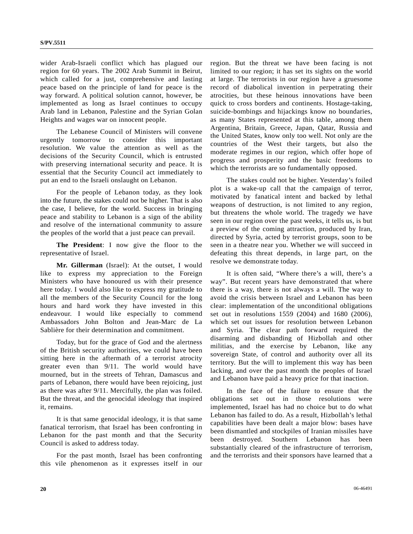wider Arab-Israeli conflict which has plagued our region for 60 years. The 2002 Arab Summit in Beirut, which called for a just, comprehensive and lasting peace based on the principle of land for peace is the way forward. A political solution cannot, however, be implemented as long as Israel continues to occupy Arab land in Lebanon, Palestine and the Syrian Golan Heights and wages war on innocent people.

 The Lebanese Council of Ministers will convene urgently tomorrow to consider this important resolution. We value the attention as well as the decisions of the Security Council, which is entrusted with preserving international security and peace. It is essential that the Security Council act immediately to put an end to the Israeli onslaught on Lebanon.

 For the people of Lebanon today, as they look into the future, the stakes could not be higher. That is also the case, I believe, for the world. Success in bringing peace and stability to Lebanon is a sign of the ability and resolve of the international community to assure the peoples of the world that a just peace can prevail.

**The President**: I now give the floor to the representative of Israel.

**Mr. Gillerman** (Israel): At the outset, I would like to express my appreciation to the Foreign Ministers who have honoured us with their presence here today. I would also like to express my gratitude to all the members of the Security Council for the long hours and hard work they have invested in this endeavour. I would like especially to commend Ambassadors John Bolton and Jean-Marc de La Sablière for their determination and commitment.

 Today, but for the grace of God and the alertness of the British security authorities, we could have been sitting here in the aftermath of a terrorist atrocity greater even than 9/11. The world would have mourned, but in the streets of Tehran, Damascus and parts of Lebanon, there would have been rejoicing, just as there was after 9/11. Mercifully, the plan was foiled. But the threat, and the genocidal ideology that inspired it, remains.

 It is that same genocidal ideology, it is that same fanatical terrorism, that Israel has been confronting in Lebanon for the past month and that the Security Council is asked to address today.

 For the past month, Israel has been confronting this vile phenomenon as it expresses itself in our region. But the threat we have been facing is not limited to our region; it has set its sights on the world at large. The terrorists in our region have a gruesome record of diabolical invention in perpetrating their atrocities, but these heinous innovations have been quick to cross borders and continents. Hostage-taking, suicide-bombings and hijackings know no boundaries, as many States represented at this table, among them Argentina, Britain, Greece, Japan, Qatar, Russia and the United States, know only too well. Not only are the countries of the West their targets, but also the moderate regimes in our region, which offer hope of progress and prosperity and the basic freedoms to which the terrorists are so fundamentally opposed.

 The stakes could not be higher. Yesterday's foiled plot is a wake-up call that the campaign of terror, motivated by fanatical intent and backed by lethal weapons of destruction, is not limited to any region, but threatens the whole world. The tragedy we have seen in our region over the past weeks, it tells us, is but a preview of the coming attraction, produced by Iran, directed by Syria, acted by terrorist groups, soon to be seen in a theatre near you. Whether we will succeed in defeating this threat depends, in large part, on the resolve we demonstrate today.

 It is often said, "Where there's a will, there's a way". But recent years have demonstrated that where there is a way, there is not always a will. The way to avoid the crisis between Israel and Lebanon has been clear: implementation of the unconditional obligations set out in resolutions 1559 (2004) and 1680 (2006), which set out issues for resolution between Lebanon and Syria. The clear path forward required the disarming and disbanding of Hizbollah and other militias, and the exercise by Lebanon, like any sovereign State, of control and authority over all its territory. But the will to implement this way has been lacking, and over the past month the peoples of Israel and Lebanon have paid a heavy price for that inaction.

 In the face of the failure to ensure that the obligations set out in those resolutions were implemented, Israel has had no choice but to do what Lebanon has failed to do. As a result, Hizbollah's lethal capabilities have been dealt a major blow: bases have been dismantled and stockpiles of Iranian missiles have been destroyed. Southern Lebanon has been substantially cleared of the infrastructure of terrorism, and the terrorists and their sponsors have learned that a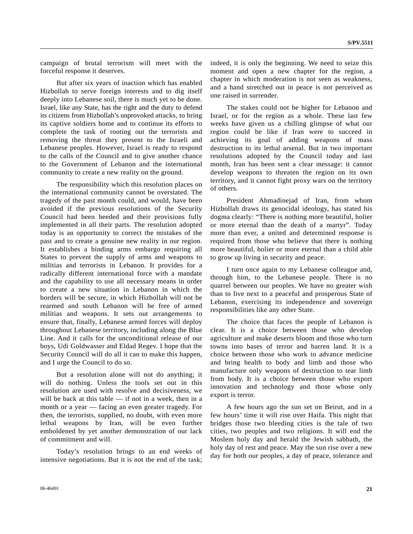campaign of brutal terrorism will meet with the forceful response it deserves.

 But after six years of inaction which has enabled Hizbollah to serve foreign interests and to dig itself deeply into Lebanese soil, there is much yet to be done. Israel, like any State, has the right and the duty to defend its citizens from Hizbollah's unprovoked attacks, to bring its captive soldiers home and to continue its efforts to complete the task of rooting out the terrorists and removing the threat they present to the Israeli and Lebanese peoples. However, Israel is ready to respond to the calls of the Council and to give another chance to the Government of Lebanon and the international community to create a new reality on the ground.

 The responsibility which this resolution places on the international community cannot be overstated. The tragedy of the past month could, and would, have been avoided if the previous resolutions of the Security Council had been heeded and their provisions fully implemented in all their parts. The resolution adopted today is an opportunity to correct the mistakes of the past and to create a genuine new reality in our region. It establishes a binding arms embargo requiring all States to prevent the supply of arms and weapons to militias and terrorists in Lebanon. It provides for a radically different international force with a mandate and the capability to use all necessary means in order to create a new situation in Lebanon in which the borders will be secure, in which Hizbollah will not be rearmed and south Lebanon will be free of armed militias and weapons. It sets out arrangements to ensure that, finally, Lebanese armed forces will deploy throughout Lebanese territory, including along the Blue Line. And it calls for the unconditional release of our boys, Udi Goldwasser and Eldad Regev. I hope that the Security Council will do all it can to make this happen, and I urge the Council to do so.

 But a resolution alone will not do anything; it will do nothing. Unless the tools set out in this resolution are used with resolve and decisiveness, we will be back at this table — if not in a week, then in a month or a year — facing an even greater tragedy. For then, the terrorists, supplied, no doubt, with even more lethal weapons by Iran, will be even further emboldened by yet another demonstration of our lack of commitment and will.

 Today's resolution brings to an end weeks of intensive negotiations. But it is not the end of the task; indeed, it is only the beginning. We need to seize this moment and open a new chapter for the region, a chapter in which moderation is not seen as weakness, and a hand stretched out in peace is not perceived as one raised in surrender.

 The stakes could not be higher for Lebanon and Israel, or for the region as a whole. These last few weeks have given us a chilling glimpse of what our region could be like if Iran were to succeed in achieving its goal of adding weapons of mass destruction to its lethal arsenal. But in two important resolutions adopted by the Council today and last month, Iran has been sent a clear message: it cannot develop weapons to threaten the region on its own territory, and it cannot fight proxy wars on the territory of others.

 President Ahmadinejad of Iran, from whom Hizbollah draws its genocidal ideology, has stated his dogma clearly: "There is nothing more beautiful, holier or more eternal than the death of a martyr". Today more than ever, a united and determined response is required from those who believe that there is nothing more beautiful, holier or more eternal than a child able to grow up living in security and peace.

 I turn once again to my Lebanese colleague and, through him, to the Lebanese people. There is no quarrel between our peoples. We have no greater wish than to live next to a peaceful and prosperous State of Lebanon, exercising its independence and sovereign responsibilities like any other State.

 The choice that faces the people of Lebanon is clear. It is a choice between those who develop agriculture and make deserts bloom and those who turn towns into bases of terror and barren land. It is a choice between those who work to advance medicine and bring health to body and limb and those who manufacture only weapons of destruction to tear limb from body. It is a choice between those who export innovation and technology and those whose only export is terror.

 A few hours ago the sun set on Beirut, and in a few hours' time it will rise over Haifa. This night that bridges those two bleeding cities is the tale of two cities, two peoples and two religions. It will end the Moslem holy day and herald the Jewish sabbath, the holy day of rest and peace. May the sun rise over a new day for both our peoples, a day of peace, tolerance and